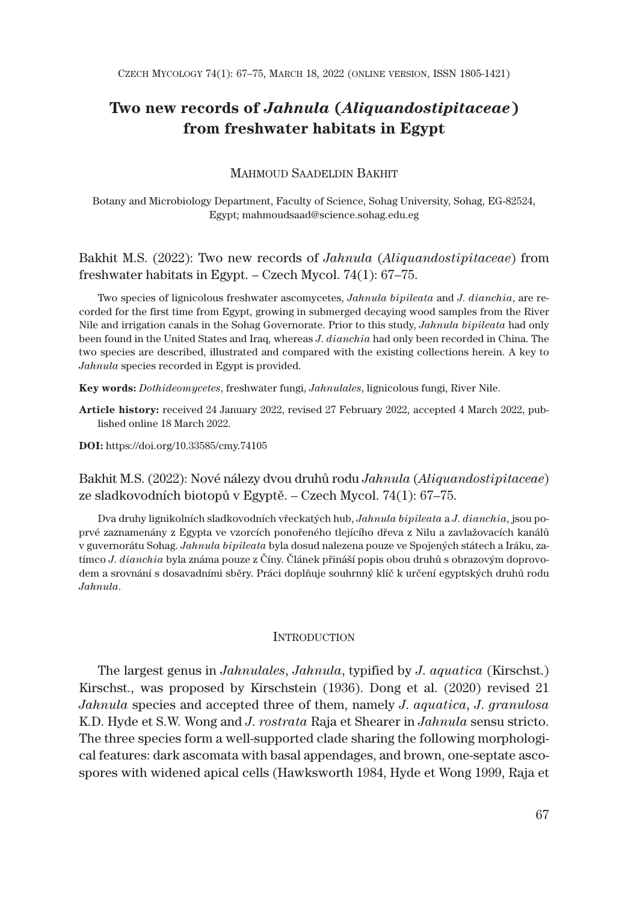# **Two new records of** *Jahnula* **(***Aliquandostipitaceae***) from freshwater habitats in Egypt**

## MAHMOUD SAADELDIN BAKHIT

Botany and Microbiology Department, Faculty of Science, Sohag University, Sohag, EG-82524, Egypt; mahmoudsaad@science.sohag.edu.eg

Bakhit M.S. (2022): Two new records of *Jahnula* (*Aliquandostipitaceae*) from freshwater habitats in Egypt. – Czech Mycol. 74(1): 67–75.

Two species of lignicolous freshwater ascomycetes, *Jahnula bipileata* and *J*. *dianchia*, are recorded for the first time from Egypt, growing in submerged decaying wood samples from the River Nile and irrigation canals in the Sohag Governorate. Prior to this study, *Jahnula bipileata* had only been found in the United States and Iraq, whereas *J*. *dianchia* had only been recorded in China. The two species are described, illustrated and compared with the existing collections herein. A key to *Jahnula* species recorded in Egypt is provided.

**Key words:** *Dothideomycetes*, freshwater fungi, *Jahnulales*, lignicolous fungi, River Nile.

**Article history:** received 24 January 2022, revised 27 February 2022, accepted 4 March 2022, published online 18 March 2022.

**DOI:** https://doi.org/10.33585/cmy.74105

Bakhit M.S. (2022): Nové nálezy dvou druhů rodu *Jahnula* (*Aliquandostipitaceae*) ze sladkovodních biotopů v Egyptě. – Czech Mycol. 74(1): 67–75.

Dva druhy lignikolních sladkovodních vřeckatých hub, *Jahnula bipileata* a *J*. *dianchia*, jsou poprvé zaznamenány z Egypta ve vzorcích ponořeného tlejícího dřeva z Nilu a zavlažovacích kanálů v guvernorátu Sohag. *Jahnula bipileata* byla dosud nalezena pouze ve Spojených státech a Iráku, zatímco *J*. *dianchia* byla známa pouze z Číny. Článek přináší popis obou druhů s obrazovým doprovodem a srovnání s dosavadními sběry. Práci doplňuje souhrnný klíč k určení egyptských druhů rodu *Jahnula*.

#### **INTRODUCTION**

The largest genus in *Jahnulales*, *Jahnula*, typified by *J*. *aquatica* (Kirschst.) Kirschst., was proposed by Kirschstein (1936). Dong et al. (2020) revised 21 *Jahnula* species and accepted three of them, namely *J*. *aquatica*, *J*. *granulosa* K.D. Hyde et S.W. Wong and *J*. *rostrata* Raja et Shearer in *Jahnula* sensu stricto. The three species form a well-supported clade sharing the following morphological features: dark ascomata with basal appendages, and brown, one-septate ascospores with widened apical cells (Hawksworth 1984, Hyde et Wong 1999, Raja et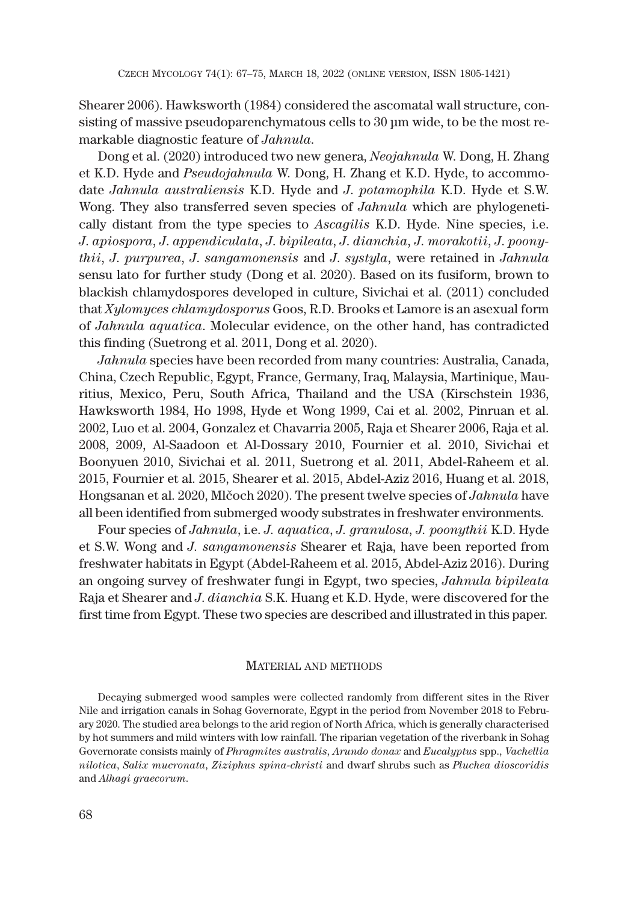Shearer 2006). Hawksworth (1984) considered the ascomatal wall structure, consisting of massive pseudoparenchymatous cells to 30 μm wide, to be the most remarkable diagnostic feature of *Jahnula*.

Dong et al. (2020) introduced two new genera, *Neojahnula* W. Dong, H. Zhang et K.D. Hyde and *Pseudojahnula* W. Dong, H. Zhang et K.D. Hyde, to accommodate *Jahnula australiensis* K.D. Hyde and *J*. *potamophila* K.D. Hyde et S.W. Wong. They also transferred seven species of *Jahnula* which are phylogenetically distant from the type species to *Ascagilis* K.D. Hyde. Nine species, i.e. *J*. *apiospora*, *J*. *appendiculata*, *J*. *bipileata*, *J*. *dianchia*, *J*. *morakotii*, *J*. *poonythii*, *J*. *purpurea*, *J*. *sangamonensis* and *J*. *systyla*, were retained in *Jahnula* sensu lato for further study (Dong et al. 2020). Based on its fusiform, brown to blackish chlamydospores developed in culture, Sivichai et al. (2011) concluded that *Xylomyces chlamydosporus* Goos, R.D. Brooks et Lamore is an asexual form of *Jahnula aquatica*. Molecular evidence, on the other hand, has contradicted this finding (Suetrong et al. 2011, Dong et al. 2020).

*Jahnula* species have been recorded from many countries: Australia, Canada, China, Czech Republic, Egypt, France, Germany, Iraq, Malaysia, Martinique, Mauritius, Mexico, Peru, South Africa, Thailand and the USA (Kirschstein 1936, Hawksworth 1984, Ho 1998, Hyde et Wong 1999, Cai et al. 2002, Pinruan et al. 2002, Luo et al. 2004, Gonzalez et Chavarria 2005, Raja et Shearer 2006, Raja et al. 2008, 2009, Al-Saadoon et Al-Dossary 2010, Fournier et al. 2010, Sivichai et Boonyuen 2010, Sivichai et al. 2011, Suetrong et al. 2011, Abdel-Raheem et al. 2015, Fournier et al. 2015, Shearer et al. 2015, Abdel-Aziz 2016, Huang et al. 2018, Hongsanan et al. 2020, Mlčoch 2020). The present twelve species of *Jahnula* have all been identified from submerged woody substrates in freshwater environments.

Four species of *Jahnula*, i.e. *J. aquatica*, *J. granulosa*, *J. poonythii* K.D. Hyde et S.W. Wong and *J. sangamonensis* Shearer et Raja, have been reported from freshwater habitats in Egypt (Abdel-Raheem et al. 2015, Abdel-Aziz 2016). During an ongoing survey of freshwater fungi in Egypt, two species, *Jahnula bipileata* Raja et Shearer and *J*. *dianchia* S.K. Huang et K.D. Hyde, were discovered for the first time from Egypt. These two species are described and illustrated in this paper.

## MATERIAL AND METHODS

Decaying submerged wood samples were collected randomly from different sites in the River Nile and irrigation canals in Sohag Governorate, Egypt in the period from November 2018 to February 2020. The studied area belongs to the arid region of North Africa, which is generally characterised by hot summers and mild winters with low rainfall. The riparian vegetation of the riverbank in Sohag Governorate consists mainly of *Phragmites australis*, *Arundo donax* and *Eucalyptus* spp., *Vachellia nilotica*, *Salix mucronata*, *Ziziphus spina-christi* and dwarf shrubs such as *Pluchea dioscoridis* and *Alhagi graecorum*.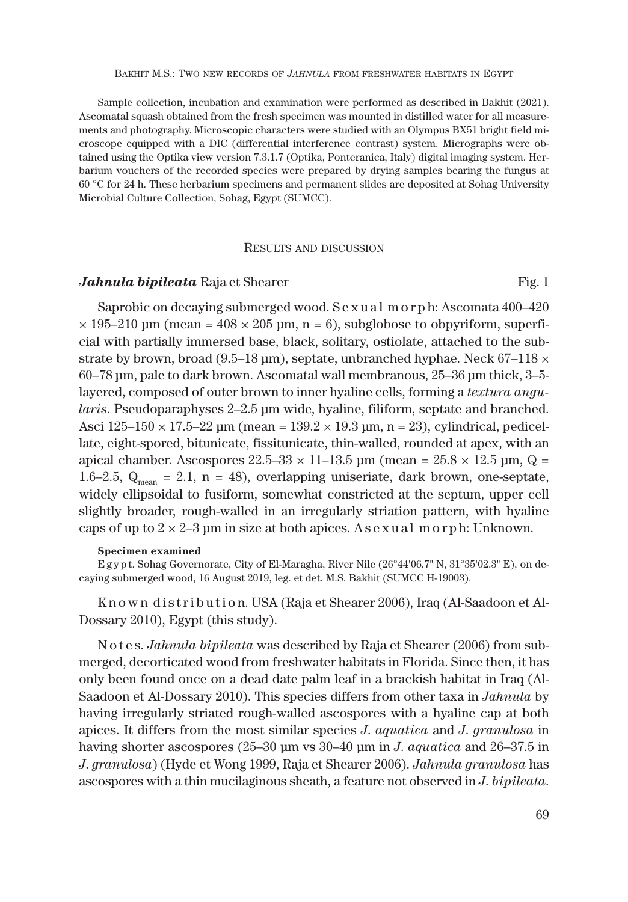Sample collection, incubation and examination were performed as described in Bakhit (2021). Ascomatal squash obtained from the fresh specimen was mounted in distilled water for all measurements and photography. Microscopic characters were studied with an Olympus BX51 bright field microscope equipped with a DIC (differential interference contrast) system. Micrographs were obtained using the Optika view version 7.3.1.7 (Optika, Ponteranica, Italy) digital imaging system. Herbarium vouchers of the recorded species were prepared by drying samples bearing the fungus at 60 °C for 24 h. These herbarium specimens and permanent slides are deposited at Sohag University Microbial Culture Collection, Sohag, Egypt (SUMCC).

#### RESULTS AND DISCUSSION

## *Jahnula bipileata* Raja et Shearer Fig. 1

Saprobic on decaying submerged wood. S e x u a l m o r p h: Ascomata 400–420  $\times$  195–210 μm (mean = 408  $\times$  205 μm, n = 6), subglobose to obpyriform, superficial with partially immersed base, black, solitary, ostiolate, attached to the substrate by brown, broad (9.5–18 µm), septate, unbranched hyphae. Neck 67–118  $\times$ 60–78 μm, pale to dark brown. Ascomatal wall membranous, 25–36 μm thick, 3–5 layered, composed of outer brown to inner hyaline cells, forming a *textura angularis*. Pseudoparaphyses 2–2.5 μm wide, hyaline, filiform, septate and branched. Asci  $125-150 \times 17.5-22 \,\text{\mu m}$  (mean =  $139.2 \times 19.3 \,\text{\mu m}$ , n = 23), cylindrical, pedicellate, eight-spored, bitunicate, fissitunicate, thin-walled, rounded at apex, with an apical chamber. Ascospores  $22.5-33 \times 11-13.5$  μm (mean =  $25.8 \times 12.5$  μm, Q = 1.6–2.5,  $Q_{mean} = 2.1$ , n = 48), overlapping uniseriate, dark brown, one-septate, widely ellipsoidal to fusiform, somewhat constricted at the septum, upper cell slightly broader, rough-walled in an irregularly striation pattern, with hyaline caps of up to  $2 \times 2-3$  µm in size at both apices. As exual m or ph: Unknown.

#### **Specimen examined**

E g y p t. Sohag Governorate, City of El-Maragha, River Nile (26°44'06.7" N, 31°35'02.3" E), on decaying submerged wood, 16 August 2019, leg. et det. M.S. Bakhit (SUMCC H-19003).

K n o w n distribution. USA (Raja et Shearer 2006), Iraq (Al-Saadoon et Al-Dossary 2010), Egypt (this study).

N o t e s. *Jahnula bipileata* was described by Raja et Shearer (2006) from submerged, decorticated wood from freshwater habitats in Florida. Since then, it has only been found once on a dead date palm leaf in a brackish habitat in Iraq (Al-Saadoon et Al-Dossary 2010). This species differs from other taxa in *Jahnula* by having irregularly striated rough-walled ascospores with a hyaline cap at both apices. It differs from the most similar species *J*. *aquatica* and *J*. *granulosa* in having shorter ascospores (25–30 μm vs 30–40 μm in *J*. *aquatica* and 26–37.5 in *J*. *granulosa*) (Hyde et Wong 1999, Raja et Shearer 2006). *Jahnula granulosa* has ascospores with a thin mucilaginous sheath, a feature not observed in *J*. *bipileata*.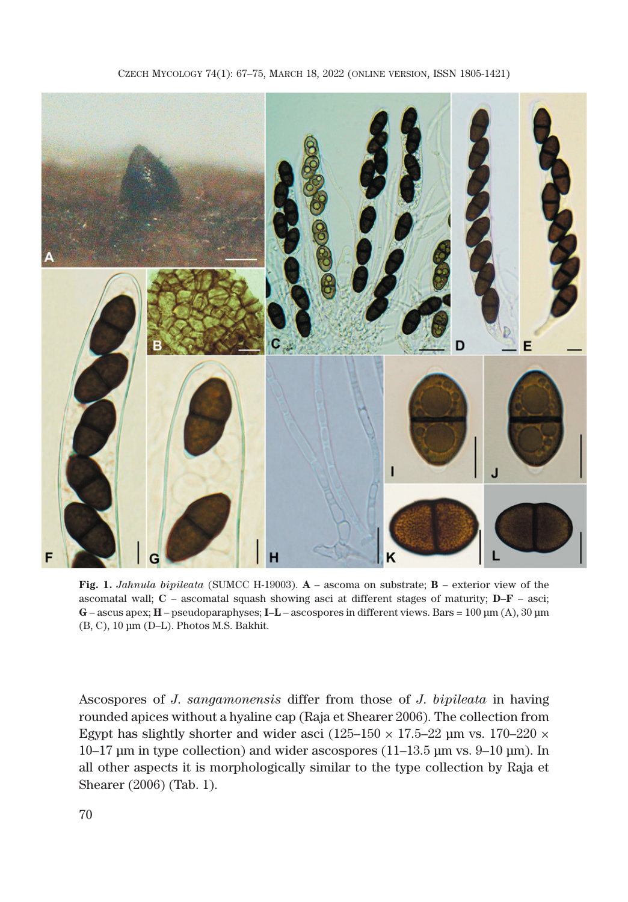

**Fig. 1.** *Jahnula bipileata* (SUMCC H-19003). **A** – ascoma on substrate; **B** – exterior view of the ascomatal wall; **C** – ascomatal squash showing asci at different stages of maturity; **D–F** – asci; **G** – ascus apex; **H** – pseudoparaphyses; **I–L** – ascospores in different views. Bars = 100 μm (A), 30 μm (B, C), 10 μm (D–L). Photos M.S. Bakhit.

Ascospores of *J*. *sangamonensis* differ from those of *J*. *bipileata* in having rounded apices without a hyaline cap (Raja et Shearer 2006). The collection from Egypt has slightly shorter and wider asci ( $125-150 \times 17.5-22$  µm vs.  $170-220 \times$ 10–17 μm in type collection) and wider ascospores (11–13.5 μm vs. 9–10 μm). In all other aspects it is morphologically similar to the type collection by Raja et Shearer (2006) (Tab. 1).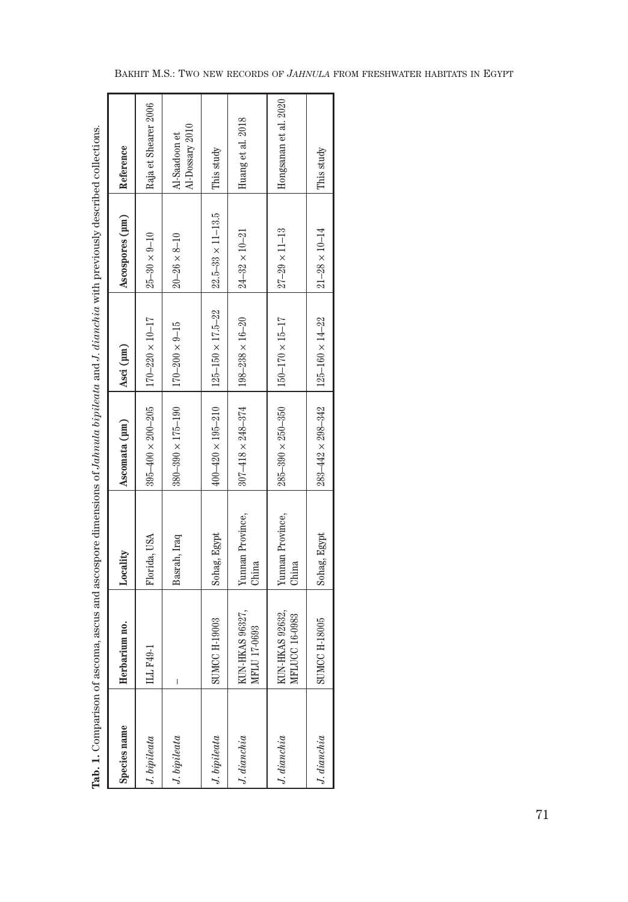| Tab. 1. Comparison |                                   | of ascoma, ascus and ascospore dimensions of Jahnula bipileata and J. dianchia with previously described collections. |                              |                              |                              |                                  |
|--------------------|-----------------------------------|-----------------------------------------------------------------------------------------------------------------------|------------------------------|------------------------------|------------------------------|----------------------------------|
| Species name       | Herbarium no.                     | Locality                                                                                                              | Ascomata (µm)                | Asci (µm)                    | Ascospores (µm)              | Reference                        |
| J. bipileata       | ILL F49-1                         | Florida, USA                                                                                                          | $395 - 400 \times 200 - 205$ | $170 - 220 \times 10 - 17$   | $25 - 30 \times 9 - 10$      | Raja et Shearer 2006             |
| J. bipileata       | I                                 | Basrah, Iraq                                                                                                          | $380 - 390 \times 175 - 190$ | $170 - 200 \times 9 - 15$    | $20 - 26 \times 8 - 10$      | Al-Dossary 2010<br>Al-Saadoon et |
| J. bipileata       | <b>SUMCCH-19003</b>               | Sohag, Egypt                                                                                                          | $400 - 420 \times 195 - 210$ | $125 - 150 \times 17.5 - 22$ | $22.5 - 33 \times 11 - 13.5$ | This study                       |
| J. dianchia        | KUN-HKAS 96327,<br>MFLU 17-0693   | Yunnan Province,<br>China                                                                                             | $307 - 418 \times 248 - 374$ | $198 - 238 \times 16 - 20$   | $24 - 32 \times 10 - 21$     | Huang et al. 2018                |
| J. dianchia        | KUN-HKAS 92632.<br>MFLUCC 16-0983 | Yunnan Province,<br>China                                                                                             | $285 - 390 \times 250 - 350$ | $150 - 170 \times 15 - 17$   | $27 - 29 \times 11 - 13$     | Hongsanan et al. 2020            |
| J. dianchia        | <b>SUMCC H-18005</b>              | Sohag, Egypt                                                                                                          | $283 - 442 \times 298 - 342$ | $125 - 160 \times 14 - 22$   | $21 - 28 \times 10 - 14$     | This study                       |

| Š<br>ì                                                                |
|-----------------------------------------------------------------------|
| ֚֕֡֡                                                                  |
|                                                                       |
| ì                                                                     |
|                                                                       |
|                                                                       |
|                                                                       |
| ֖֖֖֖֖֧ׅ֪ׅ֪ׅ֖֧ׅ֪ׅ֪֪ׅ֪֪֪֪ׅ֪֪ׅ֪֪֪֪ׅ֧֚֚֚֚֚֚֚֚֚֚֚֚֚֚֚֚֚֚֚֚֚֚֚֚֚֚֚֬֝֝֝֓֓֓֝֬ |
|                                                                       |
| ļ                                                                     |
|                                                                       |
|                                                                       |
|                                                                       |
| j                                                                     |
| $\frac{1}{1}$                                                         |
|                                                                       |
| ļ                                                                     |
|                                                                       |
| ļ                                                                     |
|                                                                       |
|                                                                       |
| ë                                                                     |
| Ì                                                                     |
|                                                                       |
|                                                                       |
|                                                                       |
|                                                                       |
|                                                                       |
|                                                                       |
|                                                                       |
|                                                                       |
|                                                                       |
| ׇׅ֠                                                                   |
| j                                                                     |
|                                                                       |
| ı                                                                     |
|                                                                       |
|                                                                       |
|                                                                       |
|                                                                       |
|                                                                       |
|                                                                       |
|                                                                       |
| i                                                                     |
|                                                                       |
|                                                                       |
|                                                                       |
|                                                                       |
|                                                                       |
|                                                                       |
|                                                                       |
| ζ,<br>l                                                               |
| í                                                                     |
| j                                                                     |
| $\overline{\phantom{a}}$<br>j                                         |
| ŝ<br>¢                                                                |
|                                                                       |
| Í                                                                     |
| j                                                                     |
| くりょく                                                                  |
| j                                                                     |
|                                                                       |
| ،<br>پ                                                                |
|                                                                       |
|                                                                       |
|                                                                       |
| í                                                                     |
|                                                                       |
|                                                                       |
| ļ                                                                     |
| ï                                                                     |
| č                                                                     |
| Š<br>i                                                                |
| í                                                                     |
| ١                                                                     |
| j<br>J                                                                |
| Ì                                                                     |
|                                                                       |
| Tab.                                                                  |
|                                                                       |
|                                                                       |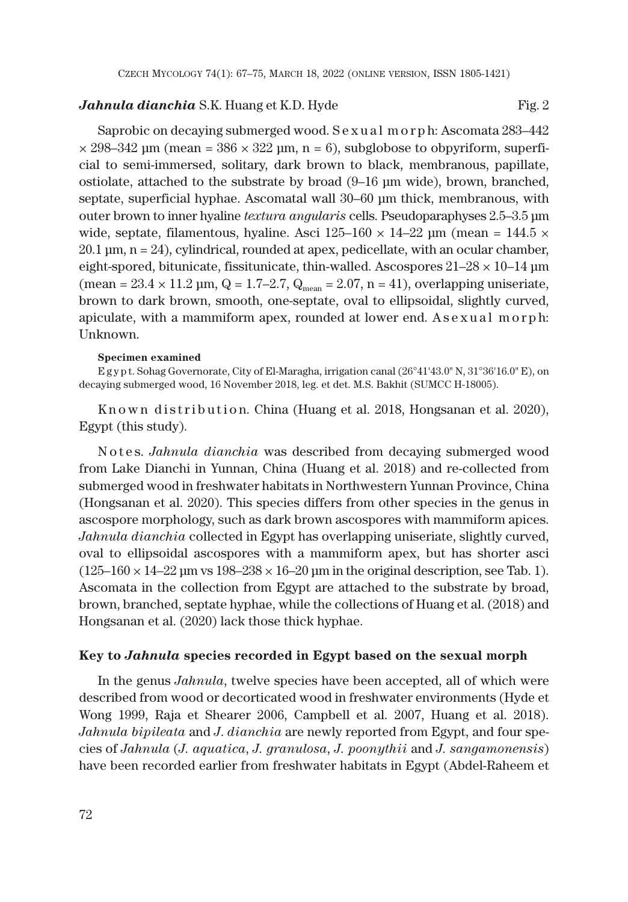## *Jahnula dianchia* S.K. Huang et K.D. Hyde Fig. 2

Saprobic on decaying submerged wood. Sexual m or p h: Ascomata 283–442  $\times$  298–342 μm (mean = 386  $\times$  322 μm, n = 6), subglobose to obpyriform, superficial to semi-immersed, solitary, dark brown to black, membranous, papillate, ostiolate, attached to the substrate by broad (9–16 μm wide), brown, branched, septate, superficial hyphae. Ascomatal wall 30–60 μm thick, membranous, with outer brown to inner hyaline *textura angularis* cells. Pseudoparaphyses 2.5–3.5 μm wide, septate, filamentous, hyaline. Asci  $125{\text -}160 \times 14{\text -}22$  µm (mean =  $144.5 \times$  $20.1 \,\mathrm{\mu m}$ ,  $n = 24$ ), cylindrical, rounded at apex, pedicellate, with an ocular chamber, eight-spored, bitunicate, fissitunicate, thin-walled. Ascospores  $21-28 \times 10-14$  µm (mean =  $23.4 \times 11.2$  µm, Q = 1.7–2.7, Q<sub>mean</sub> =  $2.07$ , n = 41), overlapping uniseriate, brown to dark brown, smooth, one-septate, oval to ellipsoidal, slightly curved, apiculate, with a mammiform apex, rounded at lower end.  $A$  sexual morph: Unknown.

#### **Specimen examined**

E g y p t. Sohag Governorate, City of El-Maragha, irrigation canal (26°41'43.0" N, 31°36'16.0" E), on decaying submerged wood, 16 November 2018, leg. et det. M.S. Bakhit (SUMCC H-18005).

K n o w n d is t r i b u t i on. China (Huang et al. 2018, Hongsanan et al. 2020), Egypt (this study).

N o t e s. *Jahnula dianchia* was described from decaying submerged wood from Lake Dianchi in Yunnan, China (Huang et al. 2018) and re-collected from submerged wood in freshwater habitats in Northwestern Yunnan Province, China (Hongsanan et al. 2020). This species differs from other species in the genus in ascospore morphology, such as dark brown ascospores with mammiform apices. *Jahnula dianchia* collected in Egypt has overlapping uniseriate, slightly curved, oval to ellipsoidal ascospores with a mammiform apex, but has shorter asci  $(125-160 \times 14-22 \text{ µm vs } 198-238 \times 16-20 \text{ µm} \text{ in the original description, see Tab. 1}).$ Ascomata in the collection from Egypt are attached to the substrate by broad, brown, branched, septate hyphae, while the collections of Huang et al. (2018) and Hongsanan et al. (2020) lack those thick hyphae.

#### **Key to** *Jahnula* **species recorded in Egypt based on the sexual morph**

In the genus *Jahnula*, twelve species have been accepted, all of which were described from wood or decorticated wood in freshwater environments (Hyde et Wong 1999, Raja et Shearer 2006, Campbell et al. 2007, Huang et al. 2018). *Jahnula bipileata* and *J*. *dianchia* are newly reported from Egypt, and four species of *Jahnula* (*J. aquatica*, *J. granulosa*, *J. poonythii* and *J. sangamonensis*) have been recorded earlier from freshwater habitats in Egypt (Abdel-Raheem et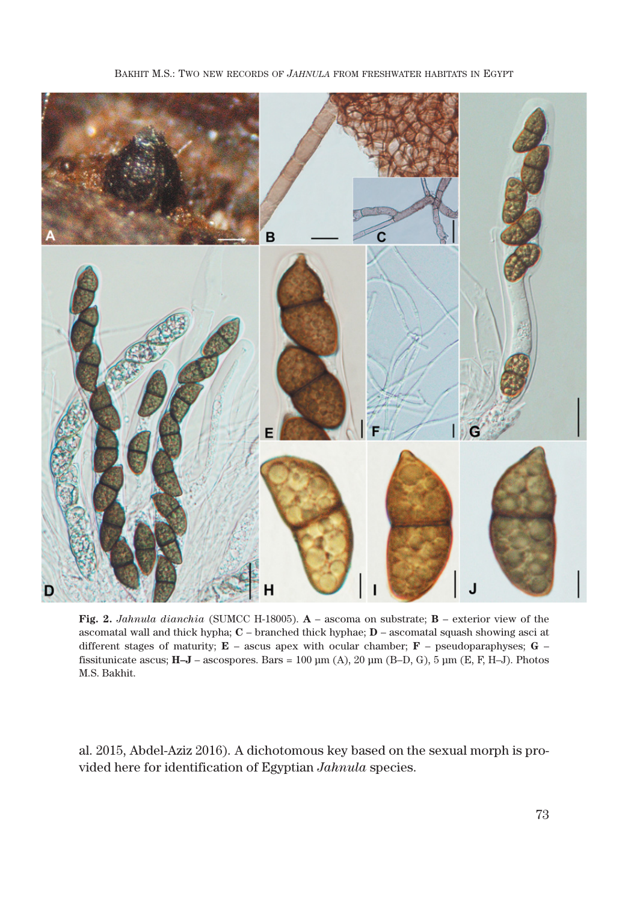

BAKHIT M.S.: TWO NEW RECORDS OF *JAHNULA* FROM FRESHWATER HABITATS IN EGYPT

**Fig. 2.** *Jahnula dianchia* (SUMCC H-18005). **A** – ascoma on substrate; **B** – exterior view of the ascomatal wall and thick hypha; **C** – branched thick hyphae; **D** – ascomatal squash showing asci at different stages of maturity; **E** – ascus apex with ocular chamber; **F** – pseudoparaphyses; **G** – fissitunicate ascus; **H–J** – ascospores. Bars = 100 μm (A), 20 μm (B–D, G), 5 μm (E, F, H–J). Photos M.S. Bakhit.

al. 2015, Abdel-Aziz 2016). A dichotomous key based on the sexual morph is provided here for identification of Egyptian *Jahnula* species.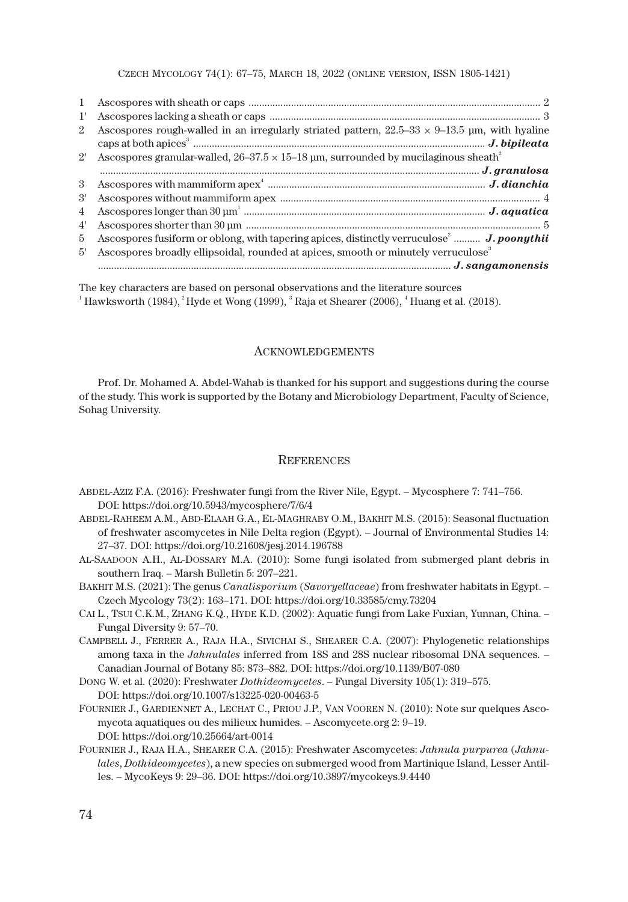CZECH MYCOLOGY 74(1): 67–75, MARCH 18, 2022 (ONLINE VERSION, ISSN 1805-1421)

| $\mathbf{1}$   |                                                                                                       |
|----------------|-------------------------------------------------------------------------------------------------------|
| 1'             |                                                                                                       |
| $\overline{2}$ | Ascospores rough-walled in an irregularly striated pattern, $22.5-33 \times 9-13.5$ µm, with hyaline  |
| $2^{\prime}$   | Ascospores granular-walled, $26-37.5 \times 15-18$ µm, surrounded by mucilaginous sheath <sup>2</sup> |
|                |                                                                                                       |
| $\mathcal{S}$  |                                                                                                       |
| 3'             |                                                                                                       |
| $\overline{4}$ |                                                                                                       |
| 4'             |                                                                                                       |
| 5              | Ascospores fusiform or oblong, with tapering apices, distinctly verruculose <sup>2</sup> J. poonythii |
| 5'             | Ascospores broadly ellipsoidal, rounded at apices, smooth or minutely verruculose <sup>3</sup>        |
|                |                                                                                                       |

The key characters are based on personal observations and the literature sources  $^1$  Hawksworth (1984),  $^2$  Hyde et Wong (1999),  $^3$  Raja et Shearer (2006),  $^4$  Huang et al. (2018).

#### ACKNOWLEDGEMENTS

Prof. Dr. Mohamed A. Abdel-Wahab is thanked for his support and suggestions during the course of the study. This work is supported by the Botany and Microbiology Department, Faculty of Science, Sohag University.

#### **REFERENCES**

- ABDEL-AZIZ F.A. (2016): Freshwater fungi from the River Nile, Egypt. Mycosphere 7: 741–756. DOI: https://doi.org/10.5943/mycosphere/7/6/4
- ABDEL-RAHEEM A.M., ABD-ELAAH G.A., EL-MAGHRABY O.M., BAKHIT M.S. (2015): Seasonal fluctuation of freshwater ascomycetes in Nile Delta region (Egypt). – Journal of Environmental Studies 14: 27–37. DOI: https://doi.org/10.21608/jesj.2014.196788
- AL-SAADOON A.H., AL-DOSSARY M.A. (2010): Some fungi isolated from submerged plant debris in southern Iraq. – Marsh Bulletin 5: 207–221.
- BAKHIT M.S. (2021): The genus *Canalisporium* (*Savoryellaceae*) from freshwater habitats in Egypt. Czech Mycology 73(2): 163–171. DOI: https://doi.org/10.33585/cmy.73204
- CAI L., TSUI C.K.M., ZHANG K.Q., HYDE K.D. (2002): Aquatic fungi from Lake Fuxian, Yunnan, China. Fungal Diversity 9: 57–70.
- CAMPBELL J., FERRER A., RAJA H.A., SIVICHAI S., SHEARER C.A. (2007): Phylogenetic relationships among taxa in the *Jahnulales* inferred from 18S and 28S nuclear ribosomal DNA sequences. – Canadian Journal of Botany 85: 873–882. DOI: https://doi.org/10.1139/B07-080
- DONG W. et al. (2020): Freshwater *Dothideomycetes*. Fungal Diversity 105(1): 319–575. DOI: https://doi.org/10.1007/s13225-020-00463-5
- FOURNIER J., GARDIENNET A., LECHAT C., PRIOU J.P., VAN VOOREN N. (2010): Note sur quelques Ascomycota aquatiques ou des milieux humides. – Ascomycete.org 2: 9–19. DOI: https://doi.org/10.25664/art-0014
- FOURNIER J., RAJA H.A., SHEARER C.A. (2015): Freshwater Ascomycetes: *Jahnula purpurea* (*Jahnulales*, *Dothideomycetes*), a new species on submerged wood from Martinique Island, Lesser Antilles. – MycoKeys 9: 29–36. DOI: https://doi.org/10.3897/mycokeys.9.4440